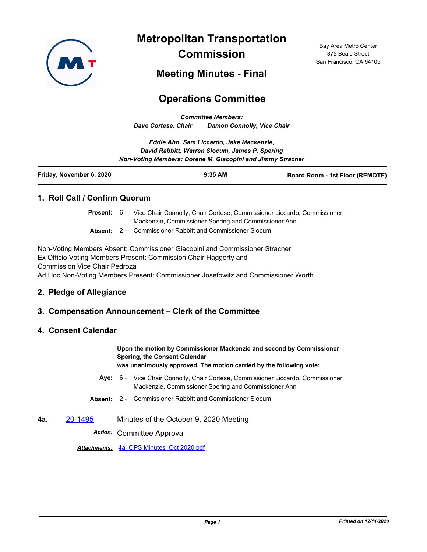

**Metropolitan Transportation Commission**

Bay Area Metro Center 375 Beale Street San Francisco, CA 94105

**Meeting Minutes - Final**

# **Operations Committee**

*Committee Members: Dave Cortese, Chair Damon Connolly, Vice Chair*

|                          | Eddie Ahn, Sam Liccardo, Jake Mackenzie,                                                                     |                                        |
|--------------------------|--------------------------------------------------------------------------------------------------------------|----------------------------------------|
|                          | David Rabbitt, Warren Slocum, James P. Spering<br>Non-Voting Members: Dorene M. Giacopini and Jimmy Stracner |                                        |
| Friday, November 6, 2020 | $9:35$ AM                                                                                                    | <b>Board Room - 1st Floor (REMOTE)</b> |

## **1. Roll Call / Confirm Quorum**

Present: 6 - Vice Chair Connolly, Chair Cortese, Commissioner Liccardo, Commissioner Mackenzie, Commissioner Spering and Commissioner Ahn

**Absent:** 2 - Commissioner Rabbitt and Commissioner Slocum

Non-Voting Members Absent: Commissioner Giacopini and Commissioner Stracner Ex Officio Voting Members Present: Commission Chair Haggerty and Commission Vice Chair Pedroza Ad Hoc Non-Voting Members Present: Commissioner Josefowitz and Commissioner Worth

### **2. Pledge of Allegiance**

### **3. Compensation Announcement – Clerk of the Committee**

#### **4. Consent Calendar**

**Upon the motion by Commissioner Mackenzie and second by Commissioner Spering, the Consent Calendar was unanimously approved. The motion carried by the following vote:**

- Aye: 6 Vice Chair Connolly, Chair Cortese, Commissioner Liccardo, Commissioner Mackenzie, Commissioner Spering and Commissioner Ahn
- **Absent:** 2 Commissioner Rabbitt and Commissioner Slocum
- **4a.** [20-1495](http://mtc.legistar.com/gateway.aspx?m=l&id=/matter.aspx?key=21360) Minutes of the October 9, 2020 Meeting

*Action:* Committee Approval

*Attachments:* [4a\\_OPS Minutes\\_Oct 2020.pdf](http://mtc.legistar.com/gateway.aspx?M=F&ID=126dfd37-2ba6-464e-877b-645c138f4863.pdf)